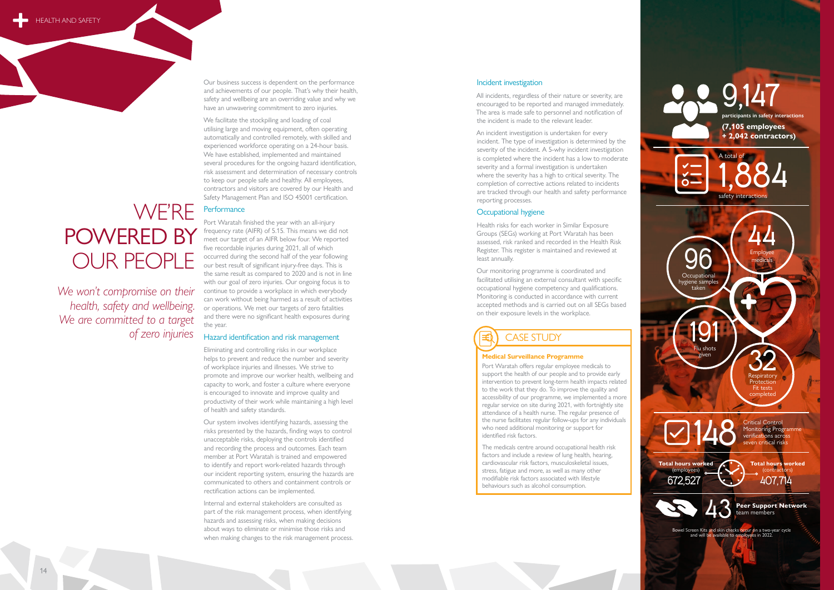Our business success is dependent on the performance and achievements of our people. That's why their health, safety and wellbeing are an overriding value and why we have an unwavering commitment to zero injuries.

We facilitate the stockpiling and loading of coal utilising large and moving equipment, often operating automatically and controlled remotely, with skilled and experienced workforce operating on a 24-hour basis. We have established, implemented and maintained several procedures for the ongoing hazard identification, risk assessment and determination of necessary controls to keep our people safe and healthy. All employees, contractors and visitors are covered by our Health and Safety Management Plan and ISO 45001 certification.

Port Waratah finished the year with an all-injury frequency rate (AIFR) of 5.15. This means we did not meet our target of an AIFR below four. We reported five recordable injuries during 2021, all of which occurred during the second half of the year following OUR PEOPLE occurred during the second half of the year following<br>the second half of the year following our best result of significant injury-free days. This is<br>the same result as compared to 2020 and is not in I the same result as compared to 2020 and is not in line with our goal of zero injuries. Our ongoing focus is to continue to provide a workplace in which everybody can work without being harmed as a result of activities or operations. We met our targets of zero fatalities and there were no significant health exposures during the year.

#### Hazard identification and risk management

Eliminating and controlling risks in our workplace helps to prevent and reduce the number and severity of workplace injuries and illnesses. We strive to promote and improve our worker health, wellbeing and capacity to work, and foster a culture where everyone is encouraged to innovate and improve quality and productivity of their work while maintaining a high level of health and safety standards.

Our system involves identifying hazards, assessing the risks presented by the hazards, finding ways to control unacceptable risks, deploying the controls identified and recording the process and outcomes. Each team member at Port Waratah is trained and empowered to identify and report work-related hazards through our incident reporting system, ensuring the hazards are communicated to others and containment controls or rectification actions can be implemented.

Internal and external stakeholders are consulted as part of the risk management process, when identifying hazards and assessing risks, when making decisions about ways to eliminate or minimise those risks and when making changes to the risk management process.

#### Incident investigation

All incidents, regardless of their nature or severity, are encouraged to be reported and managed immediately. The area is made safe to personnel and notification of the incident is made to the relevant leader.

An incident investigation is undertaken for every incident. The type of investigation is determined by the severity of the incident. A 5-why incident investigation is completed where the incident has a low to moderate severity and a formal investigation is undertaken where the severity has a high to critical severity. The completion of corrective actions related to incidents are tracked through our health and safety performance reporting processes.

#### Occupational hygiene

Health risks for each worker in Similar Exposure Groups (SEGs) working at Port Waratah has been assessed, risk ranked and recorded in the Health Risk Register. This register is maintained and reviewed at least annually.

Our monitoring programme is coordinated and facilitated utilising an external consultant with specific occupational hygiene competency and qualifications. Monitoring is conducted in accordance with current accepted methods and is carried out on all SEGs based on their exposure levels in the workplace.

*We won't compromise on their health, safety and wellbeing. We are committed to a target of zero injuries*

# WE'RE Performance POWERED BY



#### **Medical Surveillance Programme**

Port Waratah offers regular employee medicals to support the health of our people and to provide early intervention to prevent long-term health impacts related to the work that they do. To improve the quality and accessibility of our programme, we implemented a more regular service on site during 2021, with fortnightly site attendance of a health nurse. The regular presence of the nurse facilitates regular follow-ups for any individuals who need additional monitoring or support for identified risk factors.

The medicals centre around occupational health risk factors and include a review of lung health, hearing, cardiovascular risk factors, musculoskeletal issues, stress, fatigue and more, as well as many other modifiable risk factors associated with lifestyle behaviours such as alcohol consumption.

### CASE STUDY